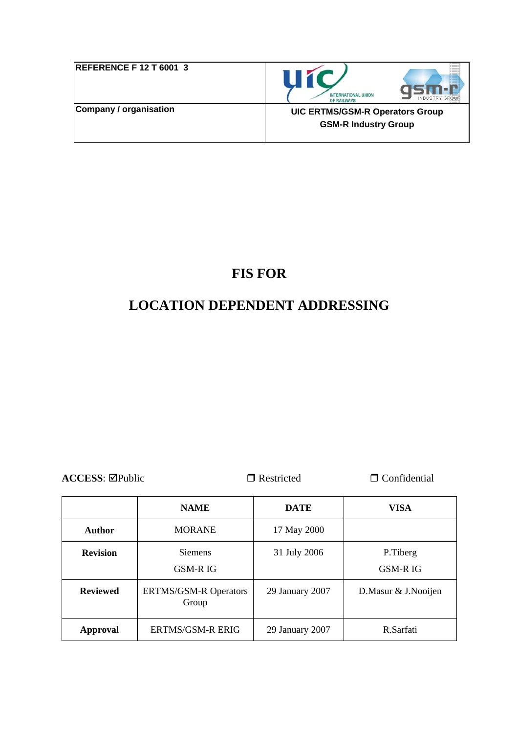| <b>REFERENCE F 12 T 6001 3</b> | 11 K<br><b>INTERNATIONAL UNION</b><br><b>INDUSTRY G</b><br>OF RAILWAYS |
|--------------------------------|------------------------------------------------------------------------|
| Company / organisation         | <b>UIC ERTMS/GSM-R Operators Group</b><br><b>GSM-R Industry Group</b>  |

# **FIS FOR**

# **LOCATION DEPENDENT ADDRESSING**

**ACCESS:**  $\Box$ Public  $\Box$  Restricted  $\Box$  Confidential

|                 | <b>NAME</b>                           | <b>DATE</b>     | <b>VISA</b>                |
|-----------------|---------------------------------------|-----------------|----------------------------|
| <b>Author</b>   | <b>MORANE</b>                         | 17 May 2000     |                            |
| <b>Revision</b> | <b>Siemens</b><br><b>GSM-RIG</b>      | 31 July 2006    | P.Tiberg<br><b>GSM-RIG</b> |
| <b>Reviewed</b> | <b>ERTMS/GSM-R Operators</b><br>Group | 29 January 2007 | D.Masur & J.Nooijen        |
| Approval        | <b>ERTMS/GSM-R ERIG</b>               | 29 January 2007 | R.Sarfati                  |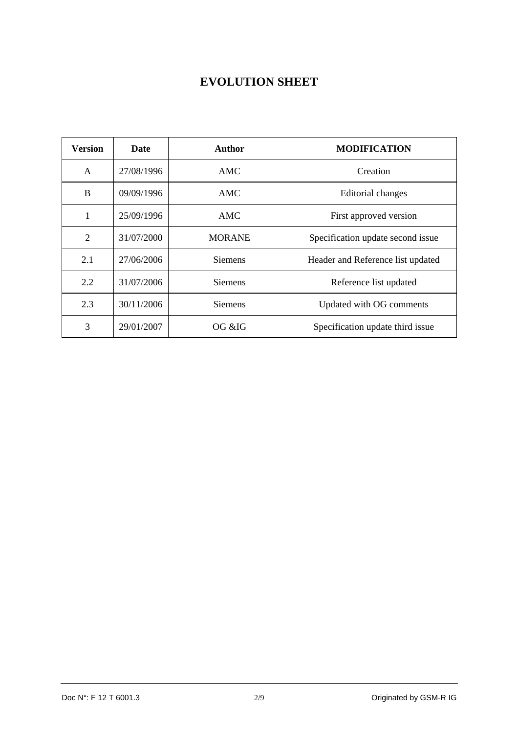# **EVOLUTION SHEET**

| <b>Version</b> | <b>Date</b> | Author         | <b>MODIFICATION</b>               |  |
|----------------|-------------|----------------|-----------------------------------|--|
| A              | 27/08/1996  | AMC            | Creation                          |  |
| B              | 09/09/1996  | AMC            | Editorial changes                 |  |
|                | 25/09/1996  | AMC            | First approved version            |  |
| $\overline{2}$ | 31/07/2000  | <b>MORANE</b>  | Specification update second issue |  |
| 2.1            | 27/06/2006  | <b>Siemens</b> | Header and Reference list updated |  |
| 2.2            | 31/07/2006  | <b>Siemens</b> | Reference list updated            |  |
| 2.3            | 30/11/2006  | <b>Siemens</b> | Updated with OG comments          |  |
| 3              | 29/01/2007  | OG &IG         | Specification update third issue  |  |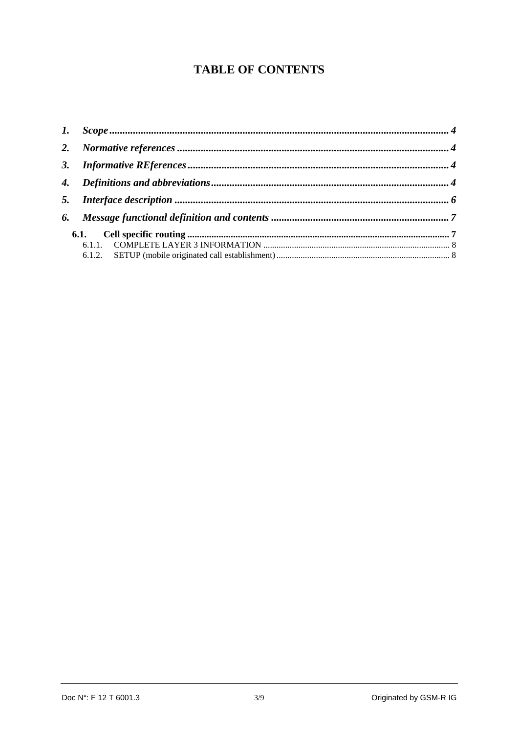# **TABLE OF CONTENTS**

| 3. |      |  |
|----|------|--|
|    |      |  |
|    |      |  |
|    |      |  |
|    | 6.1. |  |
|    |      |  |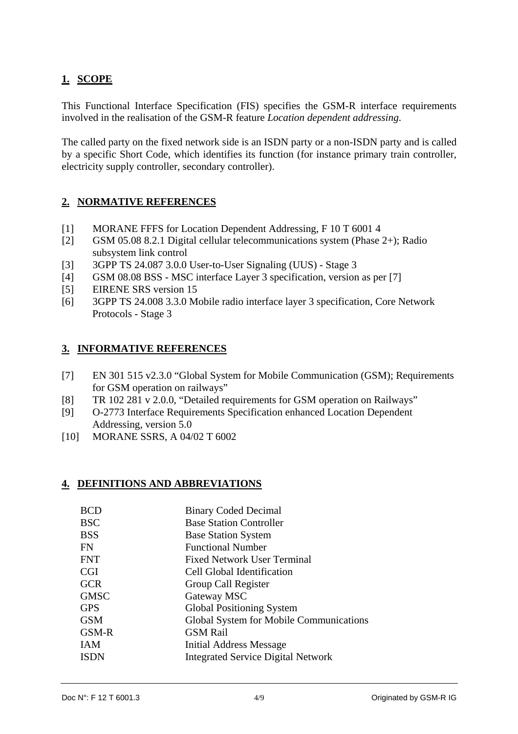# <span id="page-3-0"></span>**1. SCOPE**

This Functional Interface Specification (FIS) specifies the GSM-R interface requirements involved in the realisation of the GSM-R feature *Location dependent addressing*.

The called party on the fixed network side is an ISDN party or a non-ISDN party and is called by a specific Short Code, which identifies its function (for instance primary train controller, electricity supply controller, secondary controller).

### **2. NORMATIVE REFERENCES**

- [1] MORANE FFFS for Location Dependent Addressing, F 10 T 6001 4
- [2] GSM 05.08 8.2.1 Digital cellular telecommunications system (Phase 2+); Radio subsystem link control
- [3] 3GPP TS 24.087 3.0.0 User-to-User Signaling (UUS) Stage 3
- [4] GSM 08.08 BSS MSC interface Layer 3 specification, version as per [7]
- [5] EIRENE SRS version 15
- [6] 3GPP TS 24.008 3.3.0 Mobile radio interface layer 3 specification, Core Network Protocols - Stage 3

#### **3. INFORMATIVE REFERENCES**

- [7] EN 301 515 v2.3.0 "Global System for Mobile Communication (GSM); Requirements for GSM operation on railways"
- [8] TR 102 281 v 2.0.0, "Detailed requirements for GSM operation on Railways"
- [9] O-2773 Interface Requirements Specification enhanced Location Dependent Addressing, version 5.0
- [10] MORANE SSRS, A 04/02 T 6002

#### **4. DEFINITIONS AND ABBREVIATIONS**

| <b>BCD</b>  | <b>Binary Coded Decimal</b>               |
|-------------|-------------------------------------------|
| <b>BSC</b>  | <b>Base Station Controller</b>            |
| <b>BSS</b>  | <b>Base Station System</b>                |
| FN          | <b>Functional Number</b>                  |
| <b>FNT</b>  | <b>Fixed Network User Terminal</b>        |
| <b>CGI</b>  | Cell Global Identification                |
| <b>GCR</b>  | Group Call Register                       |
| <b>GMSC</b> | Gateway MSC                               |
| <b>GPS</b>  | <b>Global Positioning System</b>          |
| <b>GSM</b>  | Global System for Mobile Communications   |
| GSM-R       | <b>GSM Rail</b>                           |
| <b>IAM</b>  | Initial Address Message                   |
| <b>ISDN</b> | <b>Integrated Service Digital Network</b> |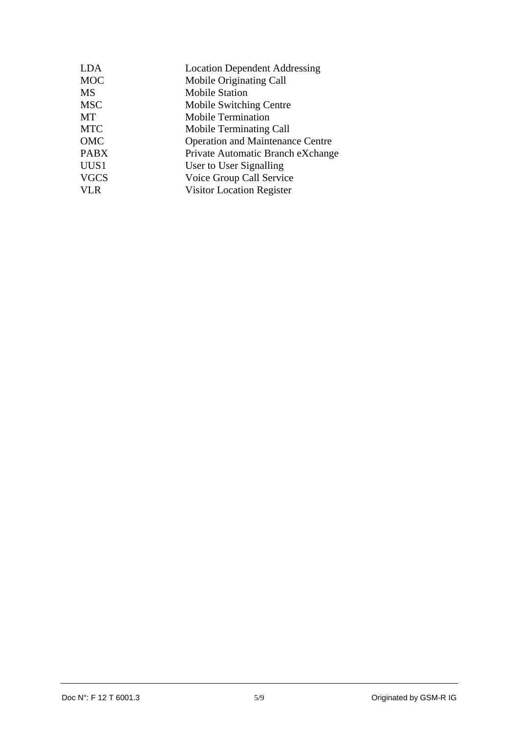| <b>LDA</b><br><b>Location Dependent Addressing</b> |  |
|----------------------------------------------------|--|
| <b>MOC</b><br>Mobile Originating Call              |  |
| <b>MS</b><br><b>Mobile Station</b>                 |  |
| <b>MSC</b><br>Mobile Switching Centre              |  |
| MT<br><b>Mobile Termination</b>                    |  |
| <b>MTC</b><br><b>Mobile Terminating Call</b>       |  |
| OMC<br><b>Operation and Maintenance Centre</b>     |  |
| <b>PABX</b><br>Private Automatic Branch eXchange   |  |
| UUS1<br>User to User Signalling                    |  |
| <b>VGCS</b><br>Voice Group Call Service            |  |
| <b>VLR</b><br><b>Visitor Location Register</b>     |  |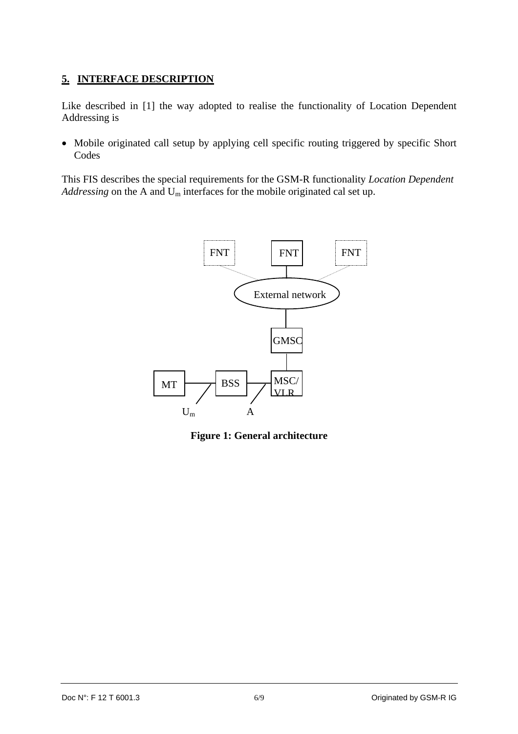## <span id="page-5-0"></span>**5. INTERFACE DESCRIPTION**

Like described in [1] the way adopted to realise the functionality of Location Dependent Addressing is

• Mobile originated call setup by applying cell specific routing triggered by specific Short Codes

This FIS describes the special requirements for the GSM-R functionality *Location Dependent Addressing* on the A and Um interfaces for the mobile originated cal set up.



**Figure 1: General architecture**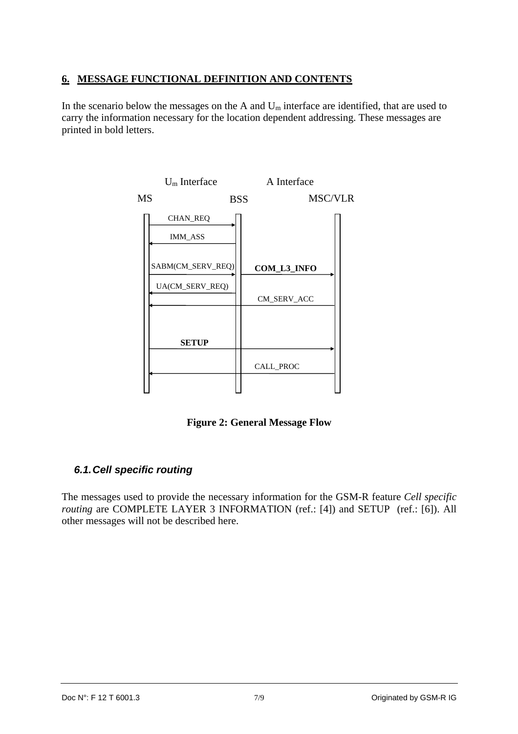### <span id="page-6-0"></span>**6. MESSAGE FUNCTIONAL DEFINITION AND CONTENTS**

In the scenario below the messages on the A and  $U_m$  interface are identified, that are used to carry the information necessary for the location dependent addressing. These messages are printed in bold letters.



**Figure 2: General Message Flow** 

## *6.1. Cell specific routing*

The messages used to provide the necessary information for the GSM-R feature *Cell specific routing* are COMPLETE LAYER 3 INFORMATION (ref.: [4]) and SETUP (ref.: [6]). All other messages will not be described here.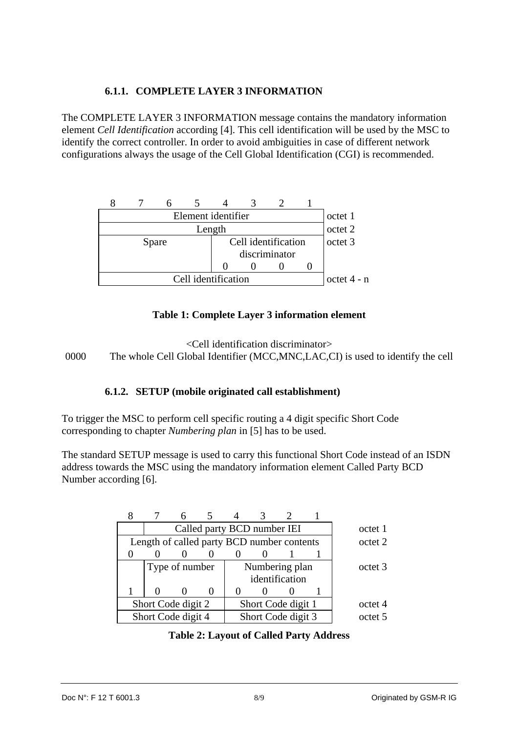### **6.1.1. COMPLETE LAYER 3 INFORMATION**

<span id="page-7-0"></span>The COMPLETE LAYER 3 INFORMATION message contains the mandatory information element *Cell Identification* according [4]. This cell identification will be used by the MSC to identify the correct controller. In order to avoid ambiguities in case of different network configurations always the usage of the Cell Global Identification (CGI) is recommended.

|                              | octet 1 |  |  |        |  |               |         |         |
|------------------------------|---------|--|--|--------|--|---------------|---------|---------|
|                              |         |  |  | Length |  |               |         | octet 2 |
| Cell identification<br>Spare |         |  |  |        |  |               | octet 3 |         |
| discriminator                |         |  |  |        |  |               |         |         |
|                              |         |  |  |        |  |               |         |         |
| Cell identification          |         |  |  |        |  | $octet 4 - n$ |         |         |

### **Table 1: Complete Layer 3 information element**

<Cell identification discriminator> 0000 The whole Cell Global Identifier (MCC,MNC,LAC,CI) is used to identify the cell

#### **6.1.2. SETUP (mobile originated call establishment)**

To trigger the MSC to perform cell specific routing a 4 digit specific Short Code corresponding to chapter *Numbering plan* in [5] has to be used.

The standard SETUP message is used to carry this functional Short Code instead of an ISDN address towards the MSC using the mandatory information element Called Party BCD Number according [6].

|                    | Called party BCD number IEI                |  |                    |  |                    |  |         | octet 1            |
|--------------------|--------------------------------------------|--|--------------------|--|--------------------|--|---------|--------------------|
|                    | Length of called party BCD number contents |  |                    |  |                    |  |         | octet 2            |
|                    |                                            |  |                    |  |                    |  |         |                    |
|                    | Numbering plan<br>Type of number           |  |                    |  |                    |  |         | octet 3            |
|                    |                                            |  |                    |  | identification     |  |         |                    |
|                    |                                            |  |                    |  |                    |  |         |                    |
| Short Code digit 2 |                                            |  | Short Code digit 1 |  |                    |  | octet 4 |                    |
| Short Code digit 4 |                                            |  |                    |  | Short Code digit 3 |  |         | octet <sub>5</sub> |

#### **Table 2: Layout of Called Party Address**